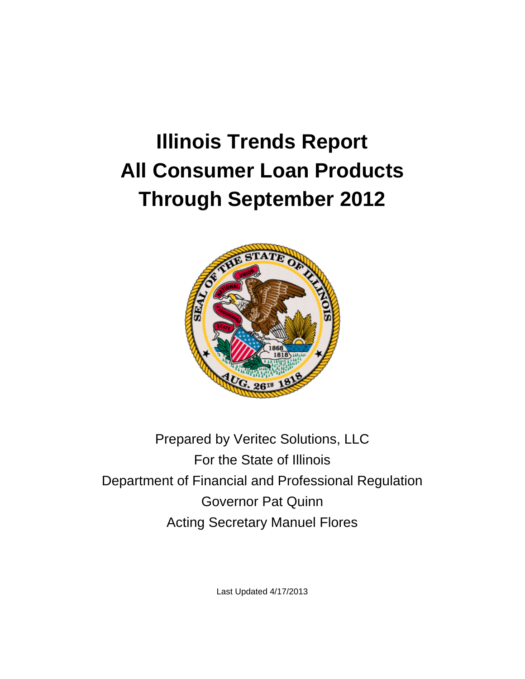# **Illinois Trends Report All Consumer Loan Products Through September 2012**



Prepared by Veritec Solutions, LLC For the State of Illinois Department of Financial and Professional Regulation Governor Pat Quinn Acting Secretary Manuel Flores

Last Updated 4/17/2013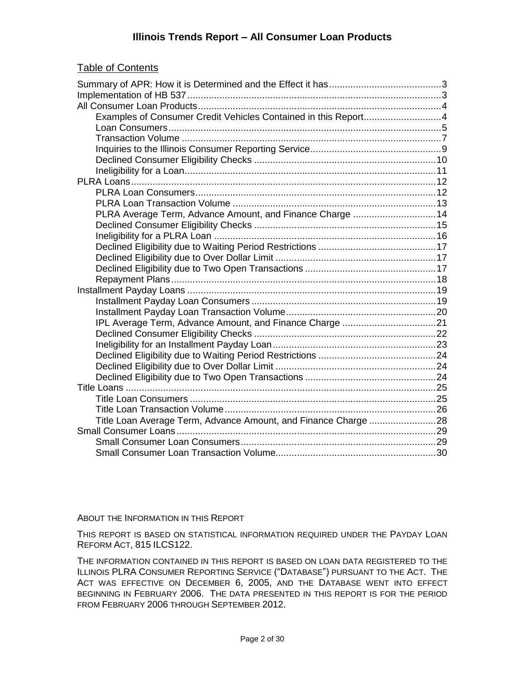|--|

| Examples of Consumer Credit Vehicles Contained in this Report4 |  |
|----------------------------------------------------------------|--|
|                                                                |  |
|                                                                |  |
|                                                                |  |
|                                                                |  |
|                                                                |  |
|                                                                |  |
|                                                                |  |
|                                                                |  |
| PLRA Average Term, Advance Amount, and Finance Charge 14       |  |
|                                                                |  |
|                                                                |  |
|                                                                |  |
|                                                                |  |
|                                                                |  |
|                                                                |  |
|                                                                |  |
|                                                                |  |
|                                                                |  |
|                                                                |  |
|                                                                |  |
|                                                                |  |
|                                                                |  |
|                                                                |  |
|                                                                |  |
|                                                                |  |
|                                                                |  |
|                                                                |  |
| Title Loan Average Term, Advance Amount, and Finance Charge 28 |  |
|                                                                |  |
|                                                                |  |
|                                                                |  |

ABOUT THE INFORMATION IN THIS REPORT

THIS REPORT IS BASED ON STATISTICAL INFORMATION REQUIRED UNDER THE PAYDAY LOAN REFORM ACT, 815 ILCS122.

THE INFORMATION CONTAINED IN THIS REPORT IS BASED ON LOAN DATA REGISTERED TO THE ILLINOIS PLRA CONSUMER REPORTING SERVICE ("DATABASE") PURSUANT TO THE ACT. THE ACT WAS EFFECTIVE ON DECEMBER 6, 2005, AND THE DATABASE WENT INTO EFFECT BEGINNING IN FEBRUARY 2006. THE DATA PRESENTED IN THIS REPORT IS FOR THE PERIOD FROM FEBRUARY 2006 THROUGH SEPTEMBER 2012.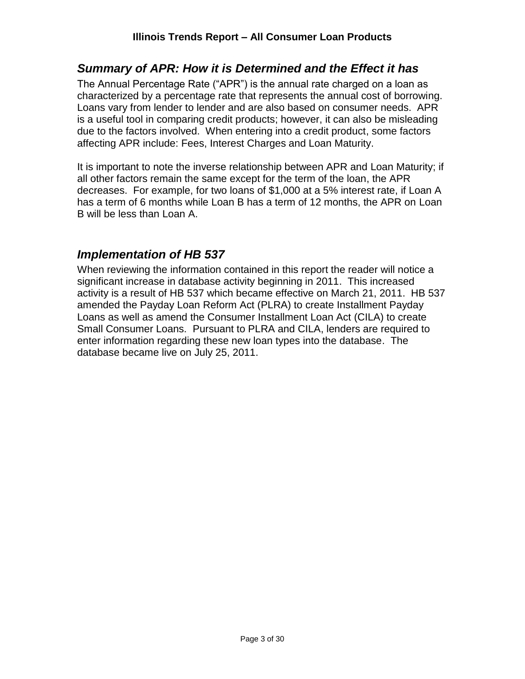# <span id="page-2-0"></span>*Summary of APR: How it is Determined and the Effect it has*

The Annual Percentage Rate ("APR") is the annual rate charged on a loan as characterized by a percentage rate that represents the annual cost of borrowing. Loans vary from lender to lender and are also based on consumer needs. APR is a useful tool in comparing credit products; however, it can also be misleading due to the factors involved. When entering into a credit product, some factors affecting APR include: Fees, Interest Charges and Loan Maturity.

It is important to note the inverse relationship between APR and Loan Maturity; if all other factors remain the same except for the term of the loan, the APR decreases. For example, for two loans of \$1,000 at a 5% interest rate, if Loan A has a term of 6 months while Loan B has a term of 12 months, the APR on Loan B will be less than Loan A.

# <span id="page-2-1"></span>*Implementation of HB 537*

When reviewing the information contained in this report the reader will notice a significant increase in database activity beginning in 2011. This increased activity is a result of HB 537 which became effective on March 21, 2011. HB 537 amended the Payday Loan Reform Act (PLRA) to create Installment Payday Loans as well as amend the Consumer Installment Loan Act (CILA) to create Small Consumer Loans. Pursuant to PLRA and CILA, lenders are required to enter information regarding these new loan types into the database. The database became live on July 25, 2011.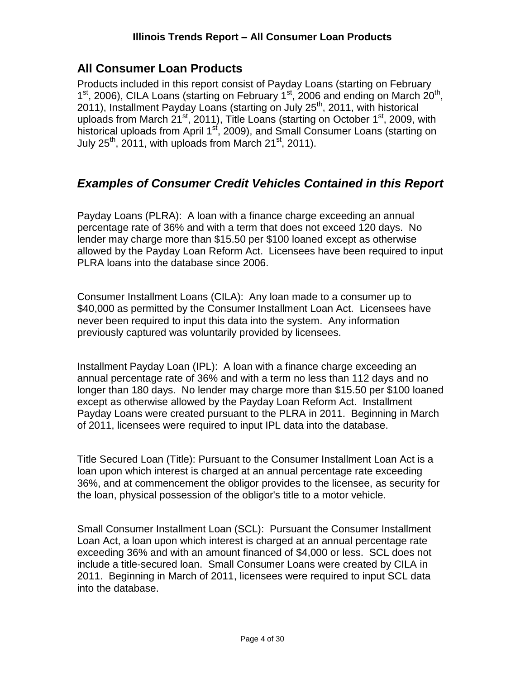# <span id="page-3-0"></span>**All Consumer Loan Products**

Products included in this report consist of Payday Loans (starting on February 1<sup>st</sup>, 2006), CILA Loans (starting on February 1<sup>st</sup>, 2006 and ending on March 20<sup>th</sup>, 2011), Installment Payday Loans (starting on July 25<sup>th</sup>, 2011, with historical uploads from March 21<sup>st</sup>, 2011), Title Loans (starting on October 1<sup>st</sup>, 2009, with historical uploads from April 1<sup>st</sup>, 2009), and Small Consumer Loans (starting on July  $25<sup>th</sup>$ , 2011, with uploads from March 21<sup>st</sup>, 2011).

# <span id="page-3-1"></span>*Examples of Consumer Credit Vehicles Contained in this Report*

Payday Loans (PLRA): A loan with a finance charge exceeding an annual percentage rate of 36% and with a term that does not exceed 120 days. No lender may charge more than \$15.50 per \$100 loaned except as otherwise allowed by the Payday Loan Reform Act. Licensees have been required to input PLRA loans into the database since 2006.

Consumer Installment Loans (CILA): Any loan made to a consumer up to \$40,000 as permitted by the Consumer Installment Loan Act. Licensees have never been required to input this data into the system. Any information previously captured was voluntarily provided by licensees.

Installment Payday Loan (IPL): A loan with a finance charge exceeding an annual percentage rate of 36% and with a term no less than 112 days and no longer than 180 days. No lender may charge more than \$15.50 per \$100 loaned except as otherwise allowed by the Payday Loan Reform Act. Installment Payday Loans were created pursuant to the PLRA in 2011. Beginning in March of 2011, licensees were required to input IPL data into the database.

Title Secured Loan (Title): Pursuant to the Consumer Installment Loan Act is a loan upon which interest is charged at an annual percentage rate exceeding 36%, and at commencement the obligor provides to the licensee, as security for the loan, physical possession of the obligor's title to a motor vehicle.

Small Consumer Installment Loan (SCL): Pursuant the Consumer Installment Loan Act, a loan upon which interest is charged at an annual percentage rate exceeding 36% and with an amount financed of \$4,000 or less. SCL does not include a title-secured loan. Small Consumer Loans were created by CILA in 2011. Beginning in March of 2011, licensees were required to input SCL data into the database.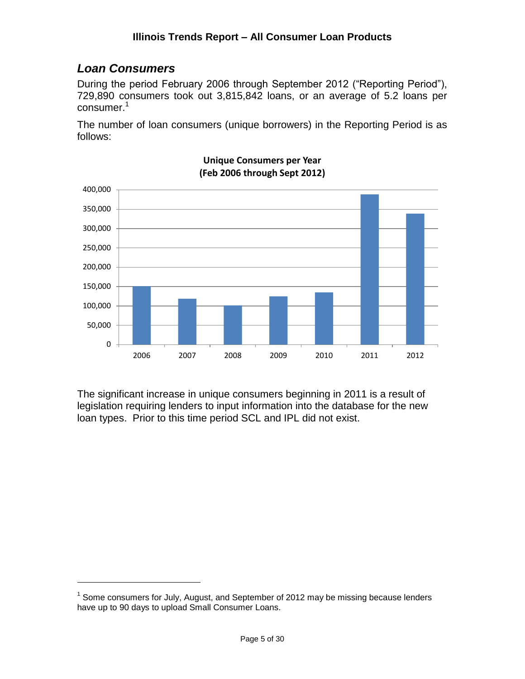# <span id="page-4-0"></span>*Loan Consumers*

 $\overline{a}$ 

During the period February 2006 through September 2012 ("Reporting Period"), 729,890 consumers took out 3,815,842 loans, or an average of 5.2 loans per  $consumer.<sup>1</sup>$ 

The number of loan consumers (unique borrowers) in the Reporting Period is as follows:



**Unique Consumers per Year (Feb 2006 through Sept 2012)**

The significant increase in unique consumers beginning in 2011 is a result of legislation requiring lenders to input information into the database for the new loan types. Prior to this time period SCL and IPL did not exist.

 $1$  Some consumers for July, August, and September of 2012 may be missing because lenders have up to 90 days to upload Small Consumer Loans.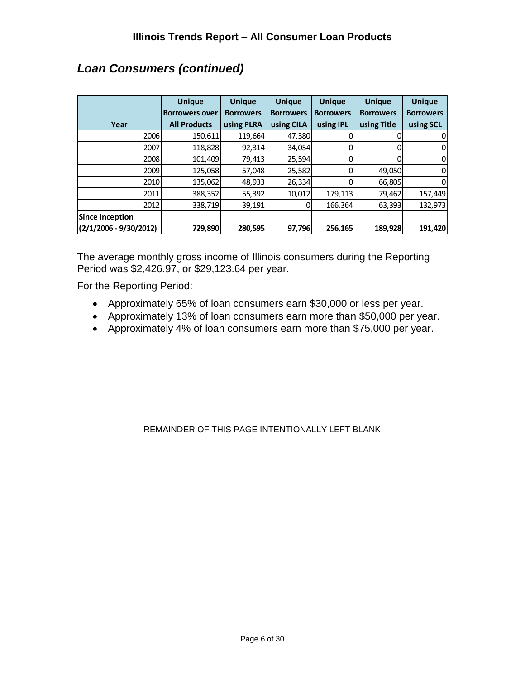|                          | <b>Unique</b>         | <b>Unique</b>    | <b>Unique</b>    | <b>Unique</b>    | <b>Unique</b>    | <b>Unique</b>    |
|--------------------------|-----------------------|------------------|------------------|------------------|------------------|------------------|
|                          | <b>Borrowers over</b> | <b>Borrowers</b> | <b>Borrowers</b> | <b>Borrowers</b> | <b>Borrowers</b> | <b>Borrowers</b> |
| Year                     | <b>All Products</b>   | using PLRA       | using CILA       | using <b>IPL</b> | using Title      | using SCL        |
| 2006                     | 150,611               | 119,664          | 47,380           |                  |                  | 0                |
| 2007                     | 118,828               | 92,314           | 34,054           |                  |                  | 0                |
| 2008                     | 101,409               | 79,413           | 25,594           |                  |                  | $\mathbf 0$      |
| 2009                     | 125,058               | 57,048           | 25,582           |                  | 49,050           | 0                |
| 2010                     | 135,062               | 48,933           | 26,334           |                  | 66,805           | 0                |
| 2011                     | 388,352               | 55,392           | 10,012           | 179,113          | 79,462           | 157,449          |
| 2012                     | 338,719               | 39,191           | 0                | 166,364          | 63,393           | 132,973          |
| <b>Since Inception</b>   |                       |                  |                  |                  |                  |                  |
| $(2/1/2006 - 9/30/2012)$ | 729,890               | 280,595          | 97,796           | 256,165          | 189,928          | 191,420          |

# *Loan Consumers (continued)*

The average monthly gross income of Illinois consumers during the Reporting Period was \$2,426.97, or \$29,123.64 per year.

For the Reporting Period:

- Approximately 65% of loan consumers earn \$30,000 or less per year.
- Approximately 13% of loan consumers earn more than \$50,000 per year.
- Approximately 4% of loan consumers earn more than \$75,000 per year.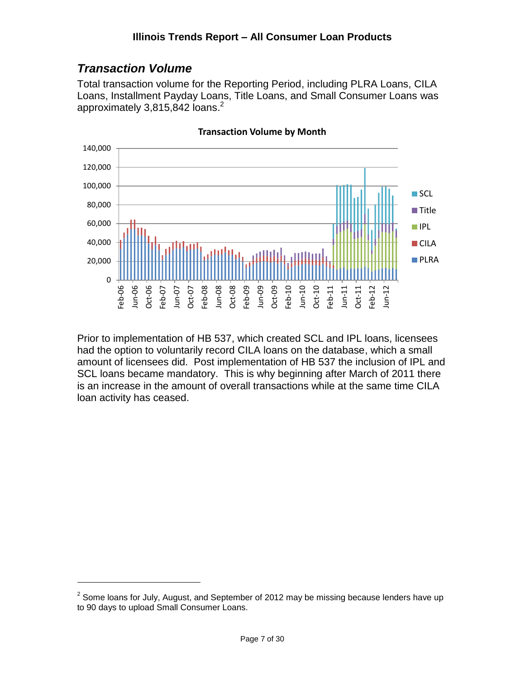# <span id="page-6-0"></span>*Transaction Volume*

 $\overline{a}$ 

Total transaction volume for the Reporting Period, including PLRA Loans, CILA Loans, Installment Payday Loans, Title Loans, and Small Consumer Loans was approximately 3,815,842 loans. 2



**Transaction Volume by Month**

Prior to implementation of HB 537, which created SCL and IPL loans, licensees had the option to voluntarily record CILA loans on the database, which a small amount of licensees did. Post implementation of HB 537 the inclusion of IPL and SCL loans became mandatory. This is why beginning after March of 2011 there is an increase in the amount of overall transactions while at the same time CILA loan activity has ceased.

 $2$  Some loans for July, August, and September of 2012 may be missing because lenders have up to 90 days to upload Small Consumer Loans.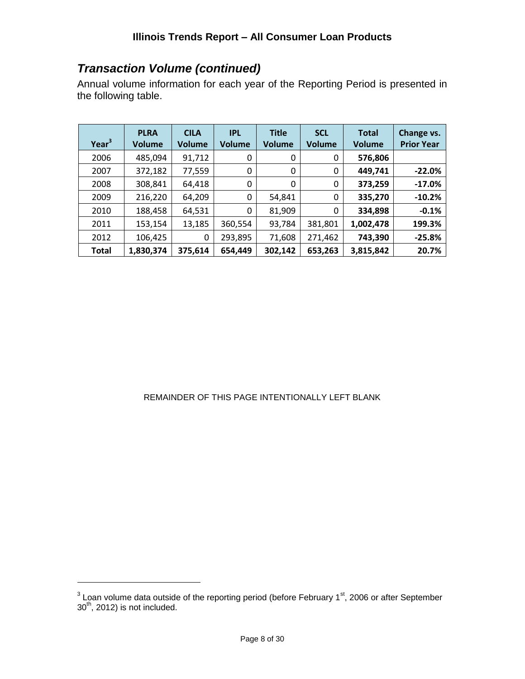# *Transaction Volume (continued)*

Annual volume information for each year of the Reporting Period is presented in the following table.

| Year <sup>3</sup> | <b>PLRA</b><br><b>Volume</b> | <b>CILA</b><br><b>Volume</b> | <b>IPL</b><br><b>Volume</b> | <b>Title</b><br><b>Volume</b> | <b>SCL</b><br><b>Volume</b> | <b>Total</b><br><b>Volume</b> | Change vs.<br><b>Prior Year</b> |
|-------------------|------------------------------|------------------------------|-----------------------------|-------------------------------|-----------------------------|-------------------------------|---------------------------------|
| 2006              | 485,094                      | 91,712                       | 0                           | 0                             | 0                           | 576,806                       |                                 |
| 2007              | 372,182                      | 77,559                       | 0                           | 0                             | 0                           | 449,741                       | $-22.0%$                        |
| 2008              | 308,841                      | 64,418                       | 0                           | 0                             | 0                           | 373,259                       | $-17.0%$                        |
| 2009              | 216,220                      | 64,209                       | 0                           | 54,841                        | 0                           | 335,270                       | $-10.2%$                        |
| 2010              | 188,458                      | 64,531                       | $\Omega$                    | 81,909                        | 0                           | 334,898                       | $-0.1%$                         |
| 2011              | 153,154                      | 13,185                       | 360,554                     | 93,784                        | 381,801                     | 1,002,478                     | 199.3%                          |
| 2012              | 106,425                      | 0                            | 293,895                     | 71,608                        | 271,462                     | 743,390                       | $-25.8%$                        |
| <b>Total</b>      | 1,830,374                    | 375,614                      | 654,449                     | 302,142                       | 653,263                     | 3,815,842                     | 20.7%                           |

#### REMAINDER OF THIS PAGE INTENTIONALLY LEFT BLANK

 $3$  Loan volume data outside of the reporting period (before February 1 $\mathrm{^{st}}$ , 2006 or after September  $30<sup>th</sup>$ , 2012) is not included.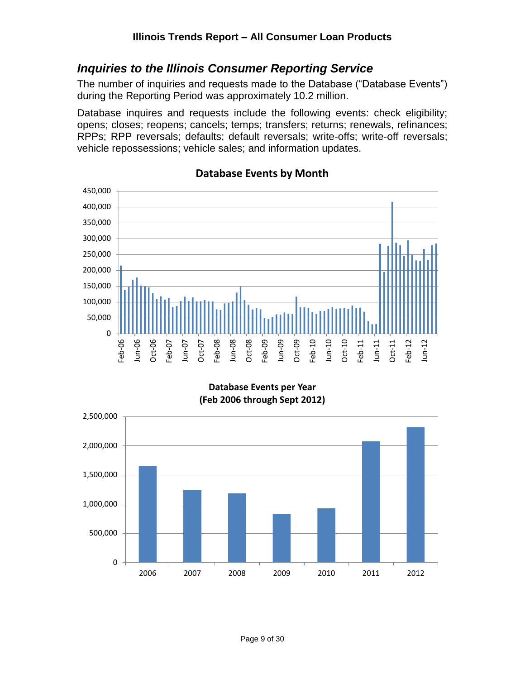## <span id="page-8-0"></span>*Inquiries to the Illinois Consumer Reporting Service*

The number of inquiries and requests made to the Database ("Database Events") during the Reporting Period was approximately 10.2 million.

Database inquires and requests include the following events: check eligibility; opens; closes; reopens; cancels; temps; transfers; returns; renewals, refinances; RPPs; RPP reversals; defaults; default reversals; write-offs; write-off reversals; vehicle repossessions; vehicle sales; and information updates.



#### **Database Events by Month**

**Database Events per Year (Feb 2006 through Sept 2012)**

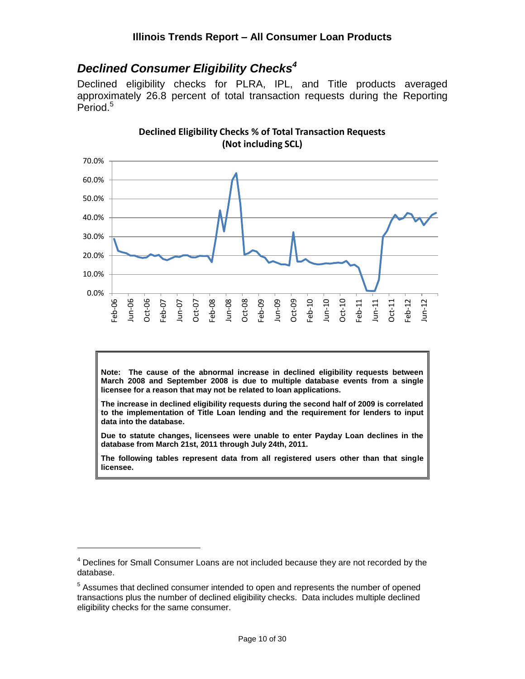# <span id="page-9-0"></span>*Declined Consumer Eligibility Checks<sup>4</sup>*

Declined eligibility checks for PLRA, IPL, and Title products averaged approximately 26.8 percent of total transaction requests during the Reporting Period.<sup>5</sup>



**Declined Eligibility Checks % of Total Transaction Requests (Not including SCL)**

**Note: The cause of the abnormal increase in declined eligibility requests between March 2008 and September 2008 is due to multiple database events from a single licensee for a reason that may not be related to loan applications.**

**The increase in declined eligibility requests during the second half of 2009 is correlated to the implementation of Title Loan lending and the requirement for lenders to input data into the database.**

**Due to statute changes, licensees were unable to enter Payday Loan declines in the database from March 21st, 2011 through July 24th, 2011.**

**The following tables represent data from all registered users other than that single licensee.**

<sup>&</sup>lt;sup>4</sup> Declines for Small Consumer Loans are not included because they are not recorded by the database.

<sup>&</sup>lt;sup>5</sup> Assumes that declined consumer intended to open and represents the number of opened transactions plus the number of declined eligibility checks. Data includes multiple declined eligibility checks for the same consumer.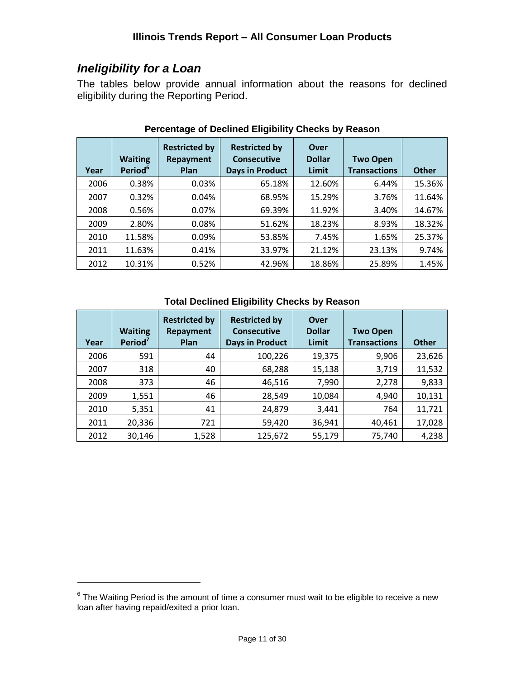# <span id="page-10-0"></span>*Ineligibility for a Loan*

 $\overline{a}$ 

The tables below provide annual information about the reasons for declined eligibility during the Reporting Period.

| Year | <b>Waiting</b><br>Period <sup>6</sup> | <b>Restricted by</b><br><b>Repayment</b><br>Plan | <b>Restricted by</b><br><b>Consecutive</b><br><b>Days in Product</b> | Over<br><b>Dollar</b><br>Limit | <b>Two Open</b><br><b>Transactions</b> | <b>Other</b> |
|------|---------------------------------------|--------------------------------------------------|----------------------------------------------------------------------|--------------------------------|----------------------------------------|--------------|
|      |                                       |                                                  |                                                                      |                                |                                        |              |
| 2006 | 0.38%                                 | 0.03%                                            | 65.18%                                                               | 12.60%                         | 6.44%                                  | 15.36%       |
| 2007 | 0.32%                                 | 0.04%                                            | 68.95%                                                               | 15.29%                         | 3.76%                                  | 11.64%       |
| 2008 | 0.56%                                 | 0.07%                                            | 69.39%                                                               | 11.92%                         | 3.40%                                  | 14.67%       |
| 2009 | 2.80%                                 | 0.08%                                            | 51.62%                                                               | 18.23%                         | 8.93%                                  | 18.32%       |
| 2010 | 11.58%                                | 0.09%                                            | 53.85%                                                               | 7.45%                          | 1.65%                                  | 25.37%       |
| 2011 | 11.63%                                | 0.41%                                            | 33.97%                                                               | 21.12%                         | 23.13%                                 | 9.74%        |
| 2012 | 10.31%                                | 0.52%                                            | 42.96%                                                               | 18.86%                         | 25.89%                                 | 1.45%        |

### **Percentage of Declined Eligibility Checks by Reason**

#### **Total Declined Eligibility Checks by Reason**

| Year | <b>Waiting</b><br>Period <sup>7</sup> | <b>Restricted by</b><br>Repayment<br>Plan | <b>Restricted by</b><br><b>Consecutive</b><br><b>Days in Product</b> | Over<br><b>Dollar</b><br>Limit | <b>Two Open</b><br><b>Transactions</b> | <b>Other</b> |
|------|---------------------------------------|-------------------------------------------|----------------------------------------------------------------------|--------------------------------|----------------------------------------|--------------|
| 2006 | 591                                   | 44                                        | 100,226                                                              | 19,375                         | 9,906                                  | 23,626       |
| 2007 | 318                                   | 40                                        | 68,288                                                               | 15,138                         | 3,719                                  | 11,532       |
| 2008 | 373                                   | 46                                        | 46,516                                                               | 7,990                          | 2,278                                  | 9,833        |
| 2009 | 1,551                                 | 46                                        | 28,549                                                               | 10,084                         | 4,940                                  | 10,131       |
| 2010 | 5,351                                 | 41                                        | 24,879                                                               | 3,441                          | 764                                    | 11,721       |
| 2011 | 20,336                                | 721                                       | 59,420                                                               | 36,941                         | 40,461                                 | 17,028       |
| 2012 | 30,146                                | 1,528                                     | 125,672                                                              | 55,179                         | 75,740                                 | 4,238        |

 $6$  The Waiting Period is the amount of time a consumer must wait to be eligible to receive a new loan after having repaid/exited a prior loan.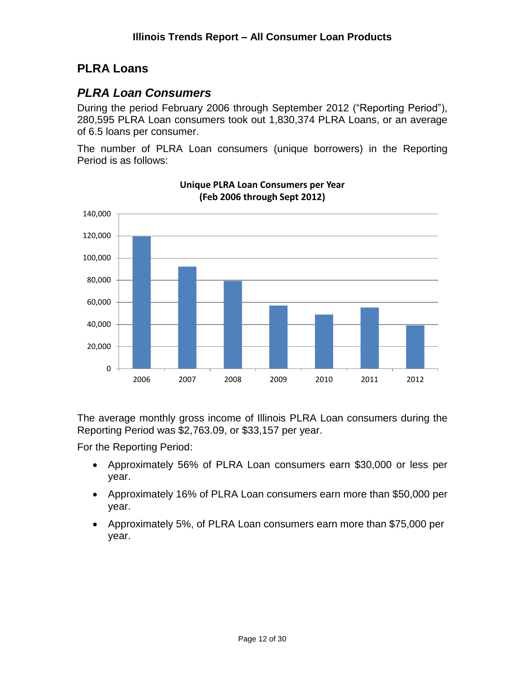# <span id="page-11-0"></span>**PLRA Loans**

## <span id="page-11-1"></span>*PLRA Loan Consumers*

During the period February 2006 through September 2012 ("Reporting Period"), 280,595 PLRA Loan consumers took out 1,830,374 PLRA Loans, or an average of 6.5 loans per consumer.

The number of PLRA Loan consumers (unique borrowers) in the Reporting Period is as follows:



**Unique PLRA Loan Consumers per Year (Feb 2006 through Sept 2012)**

The average monthly gross income of Illinois PLRA Loan consumers during the Reporting Period was \$2,763.09, or \$33,157 per year.

For the Reporting Period:

- Approximately 56% of PLRA Loan consumers earn \$30,000 or less per year.
- Approximately 16% of PLRA Loan consumers earn more than \$50,000 per year.
- Approximately 5%, of PLRA Loan consumers earn more than \$75,000 per year.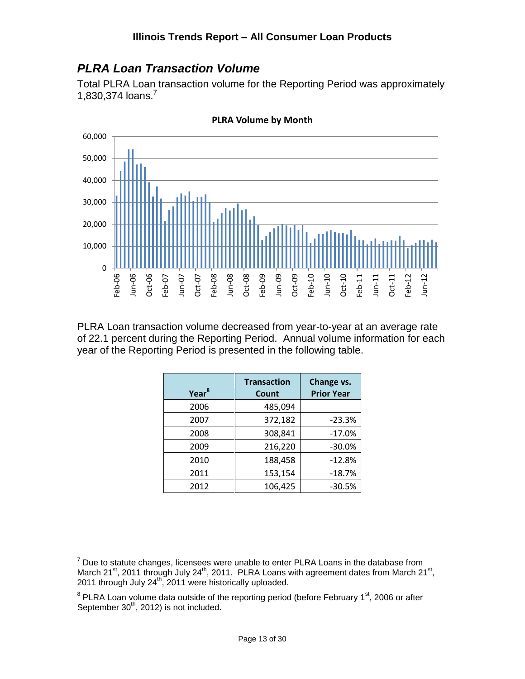# <span id="page-12-0"></span>*PLRA Loan Transaction Volume*

Total PLRA Loan transaction volume for the Reporting Period was approximately 1,830,374 loans.<sup>7</sup>



**PLRA Volume by Month**

PLRA Loan transaction volume decreased from year-to-year at an average rate of 22.1 percent during the Reporting Period. Annual volume information for each year of the Reporting Period is presented in the following table.

| Year <sup>8</sup> | <b>Transaction</b><br>Count | Change vs.<br><b>Prior Year</b> |
|-------------------|-----------------------------|---------------------------------|
| 2006              | 485,094                     |                                 |
| 2007              | 372,182                     | $-23.3%$                        |
| 2008              | 308,841                     | $-17.0%$                        |
| 2009              | 216,220                     | $-30.0%$                        |
| 2010              | 188,458                     | $-12.8%$                        |
| 2011              | 153,154                     | $-18.7%$                        |
| 2012              | 106,425                     | $-30.5%$                        |

 $7$  Due to statute changes, licensees were unable to enter PLRA Loans in the database from March 21<sup>st</sup>, 2011 through July 24<sup>th</sup>, 2011. PLRA Loans with agreement dates from March 21<sup>st</sup>, 2011 through July 24<sup>th</sup>, 2011 were historically uploaded.

 $8$  PLRA Loan volume data outside of the reporting period (before February 1 $\mathrm{^{st}}$ , 2006 or after September 30<sup>th</sup>, 2012) is not included.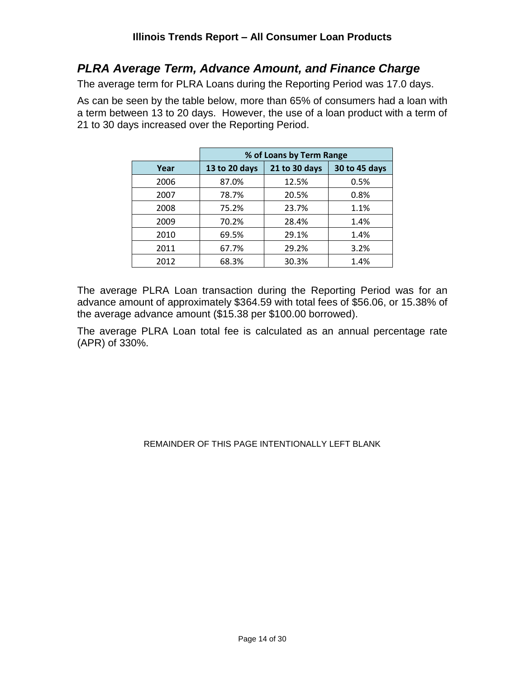## <span id="page-13-0"></span>*PLRA Average Term, Advance Amount, and Finance Charge*

The average term for PLRA Loans during the Reporting Period was 17.0 days.

As can be seen by the table below, more than 65% of consumers had a loan with a term between 13 to 20 days. However, the use of a loan product with a term of 21 to 30 days increased over the Reporting Period.

|      | % of Loans by Term Range |               |               |  |  |
|------|--------------------------|---------------|---------------|--|--|
| Year | 13 to 20 days            | 21 to 30 days | 30 to 45 days |  |  |
| 2006 | 87.0%                    | 12.5%         | 0.5%          |  |  |
| 2007 | 78.7%                    | 20.5%         | 0.8%          |  |  |
| 2008 | 75.2%                    | 23.7%         | 1.1%          |  |  |
| 2009 | 70.2%                    | 28.4%         | 1.4%          |  |  |
| 2010 | 69.5%                    | 29.1%         | 1.4%          |  |  |
| 2011 | 67.7%                    | 29.2%         | 3.2%          |  |  |
| 2012 | 68.3%                    | 30.3%         | 1.4%          |  |  |

The average PLRA Loan transaction during the Reporting Period was for an advance amount of approximately \$364.59 with total fees of \$56.06, or 15.38% of the average advance amount (\$15.38 per \$100.00 borrowed).

The average PLRA Loan total fee is calculated as an annual percentage rate (APR) of 330%.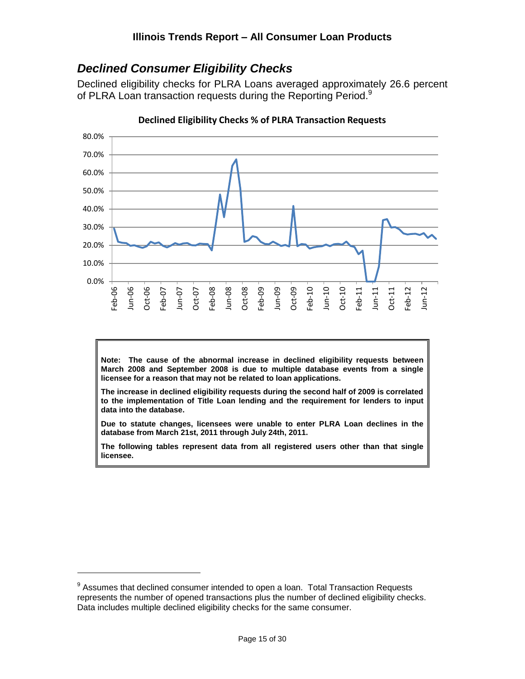# <span id="page-14-0"></span>*Declined Consumer Eligibility Checks*

Declined eligibility checks for PLRA Loans averaged approximately 26.6 percent of PLRA Loan transaction requests during the Reporting Period.<sup>9</sup>



**Declined Eligibility Checks % of PLRA Transaction Requests**

**Note: The cause of the abnormal increase in declined eligibility requests between March 2008 and September 2008 is due to multiple database events from a single licensee for a reason that may not be related to loan applications.**

**The increase in declined eligibility requests during the second half of 2009 is correlated to the implementation of Title Loan lending and the requirement for lenders to input data into the database.**

**Due to statute changes, licensees were unable to enter PLRA Loan declines in the database from March 21st, 2011 through July 24th, 2011.**

**The following tables represent data from all registered users other than that single licensee.**

 $9$  Assumes that declined consumer intended to open a loan. Total Transaction Requests represents the number of opened transactions plus the number of declined eligibility checks. Data includes multiple declined eligibility checks for the same consumer.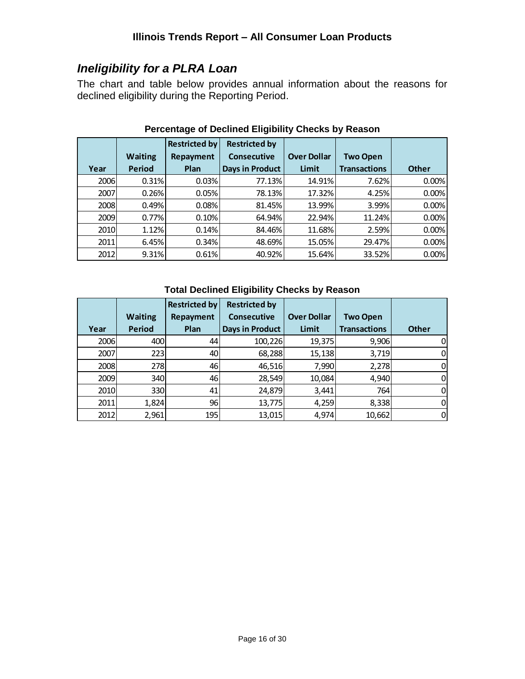# <span id="page-15-0"></span>*Ineligibility for a PLRA Loan*

The chart and table below provides annual information about the reasons for declined eligibility during the Reporting Period.

|      |                | <b>Restricted by</b> | <b>Restricted by</b>   |                    |                     |              |
|------|----------------|----------------------|------------------------|--------------------|---------------------|--------------|
|      | <b>Waiting</b> | Repayment            | <b>Consecutive</b>     | <b>Over Dollar</b> | <b>Two Open</b>     |              |
| Year | <b>Period</b>  | Plan                 | <b>Days in Product</b> | Limit              | <b>Transactions</b> | <b>Other</b> |
| 2006 | 0.31%          | 0.03%                | 77.13%                 | 14.91%             | 7.62%               | 0.00%        |
| 2007 | 0.26%          | 0.05%                | 78.13%                 | 17.32%             | 4.25%               | 0.00%        |
| 2008 | 0.49%          | 0.08%                | 81.45%                 | 13.99%             | 3.99%               | 0.00%        |
| 2009 | 0.77%          | 0.10%                | 64.94%                 | 22.94%             | 11.24%              | 0.00%        |
| 2010 | 1.12%          | 0.14%                | 84.46%                 | 11.68%             | 2.59%               | 0.00%        |
| 2011 | 6.45%          | 0.34%                | 48.69%                 | 15.05%             | 29.47%              | 0.00%        |
| 2012 | 9.31%          | 0.61%                | 40.92%                 | 15.64%             | 33.52%              | 0.00%        |

## **Percentage of Declined Eligibility Checks by Reason**

#### **Total Declined Eligibility Checks by Reason**

|      |                | <b>Restricted by</b> | <b>Restricted by</b>   |                    |                     |              |
|------|----------------|----------------------|------------------------|--------------------|---------------------|--------------|
|      | <b>Waiting</b> | Repayment            | <b>Consecutive</b>     | <b>Over Dollar</b> | <b>Two Open</b>     |              |
| Year | <b>Period</b>  | Plan                 | <b>Days in Product</b> | Limit              | <b>Transactions</b> | <b>Other</b> |
| 2006 | 400            | 44                   | 100,226                | 19,375             | 9,906               | 0            |
| 2007 | 223            | 40                   | 68,288                 | 15,138             | 3,719               | $\Omega$     |
| 2008 | <b>278</b>     | 46                   | 46,516                 | 7,990              | 2,278               | 0            |
| 2009 | 340            | 46                   | 28,549                 | 10,084             | 4,940               | 0            |
| 2010 | 330            | 41                   | 24,879                 | 3,441              | 764                 | $\Omega$     |
| 2011 | 1,824          | 96                   | 13,775                 | 4,259              | 8,338               | $\mathbf 0$  |
| 2012 | 2,961          | 195                  | 13,015                 | 4,974              | 10,662              | $\Omega$     |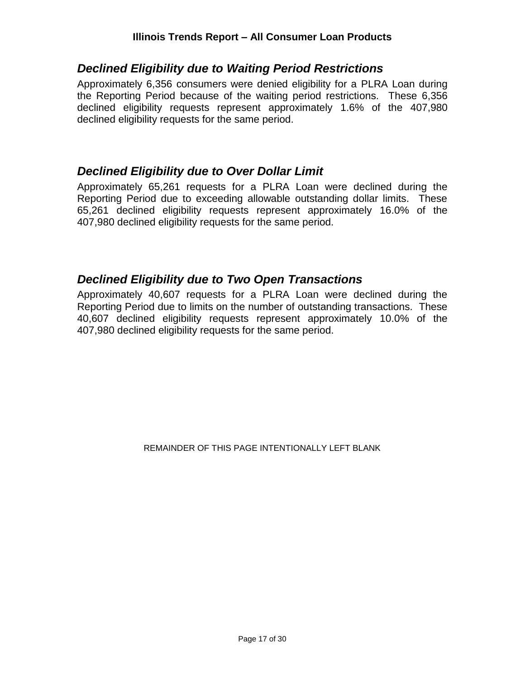## <span id="page-16-0"></span>*Declined Eligibility due to Waiting Period Restrictions*

Approximately 6,356 consumers were denied eligibility for a PLRA Loan during the Reporting Period because of the waiting period restrictions. These 6,356 declined eligibility requests represent approximately 1.6% of the 407,980 declined eligibility requests for the same period.

## <span id="page-16-1"></span>*Declined Eligibility due to Over Dollar Limit*

Approximately 65,261 requests for a PLRA Loan were declined during the Reporting Period due to exceeding allowable outstanding dollar limits. These 65,261 declined eligibility requests represent approximately 16.0% of the 407,980 declined eligibility requests for the same period.

# <span id="page-16-2"></span>*Declined Eligibility due to Two Open Transactions*

Approximately 40,607 requests for a PLRA Loan were declined during the Reporting Period due to limits on the number of outstanding transactions. These 40,607 declined eligibility requests represent approximately 10.0% of the 407,980 declined eligibility requests for the same period.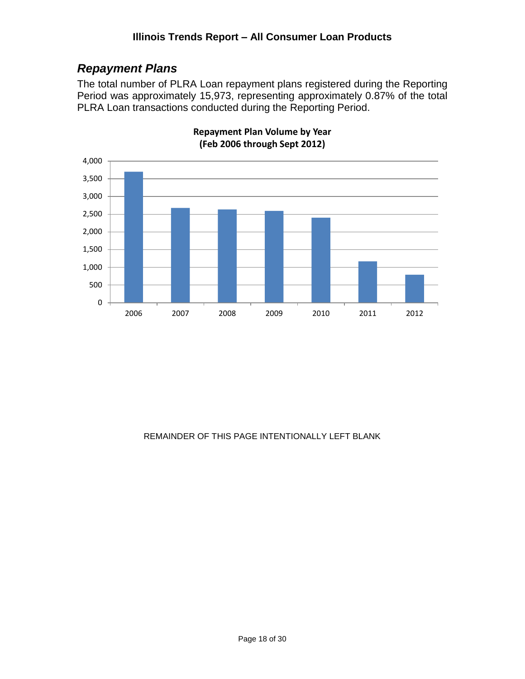# <span id="page-17-0"></span>*Repayment Plans*

The total number of PLRA Loan repayment plans registered during the Reporting Period was approximately 15,973, representing approximately 0.87% of the total PLRA Loan transactions conducted during the Reporting Period.



#### **Repayment Plan Volume by Year (Feb 2006 through Sept 2012)**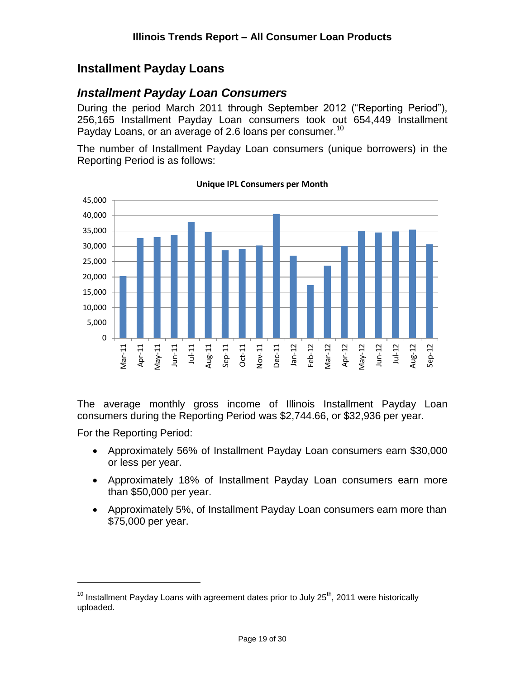## <span id="page-18-0"></span>**Installment Payday Loans**

## <span id="page-18-1"></span>*Installment Payday Loan Consumers*

During the period March 2011 through September 2012 ("Reporting Period"), 256,165 Installment Payday Loan consumers took out 654,449 Installment Payday Loans, or an average of 2.6 loans per consumer.<sup>10</sup>

The number of Installment Payday Loan consumers (unique borrowers) in the Reporting Period is as follows:



**Unique IPL Consumers per Month**

The average monthly gross income of Illinois Installment Payday Loan consumers during the Reporting Period was \$2,744.66, or \$32,936 per year.

For the Reporting Period:

- Approximately 56% of Installment Payday Loan consumers earn \$30,000 or less per year.
- Approximately 18% of Installment Payday Loan consumers earn more than \$50,000 per year.
- Approximately 5%, of Installment Payday Loan consumers earn more than \$75,000 per year.

 $10$  Installment Payday Loans with agreement dates prior to July 25<sup>th</sup>, 2011 were historically uploaded.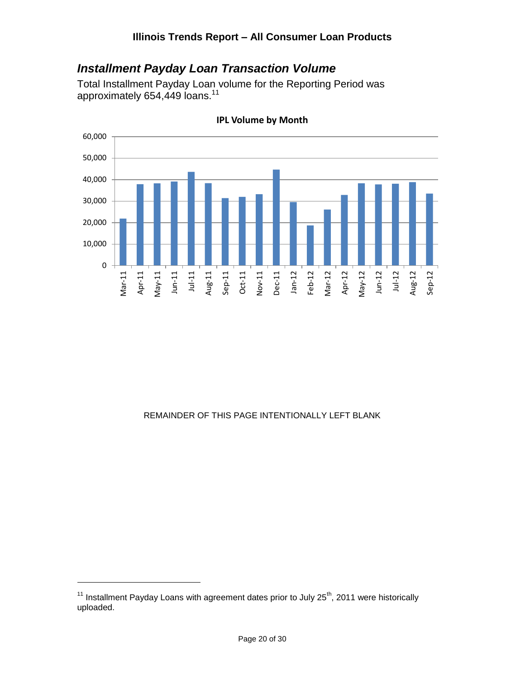## <span id="page-19-0"></span>*Installment Payday Loan Transaction Volume*

Total Installment Payday Loan volume for the Reporting Period was approximately 654,449 loans.<sup>11</sup>



**IPL Volume by Month**

#### REMAINDER OF THIS PAGE INTENTIONALLY LEFT BLANK

 $11$  Installment Payday Loans with agreement dates prior to July 25<sup>th</sup>, 2011 were historically uploaded.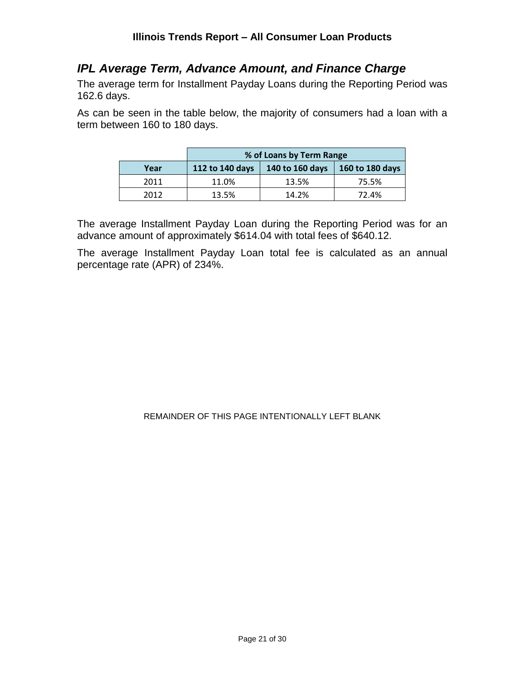## <span id="page-20-0"></span>*IPL Average Term, Advance Amount, and Finance Charge*

The average term for Installment Payday Loans during the Reporting Period was 162.6 days.

As can be seen in the table below, the majority of consumers had a loan with a term between 160 to 180 days.

|      | % of Loans by Term Range |                 |                 |  |  |
|------|--------------------------|-----------------|-----------------|--|--|
| Year | 112 to 140 days          | 140 to 160 days | 160 to 180 days |  |  |
| 2011 | 11.0%                    | 13.5%           | 75.5%           |  |  |
| 2012 | 13.5%                    | 14.2%           | 72.4%           |  |  |

The average Installment Payday Loan during the Reporting Period was for an advance amount of approximately \$614.04 with total fees of \$640.12.

The average Installment Payday Loan total fee is calculated as an annual percentage rate (APR) of 234%.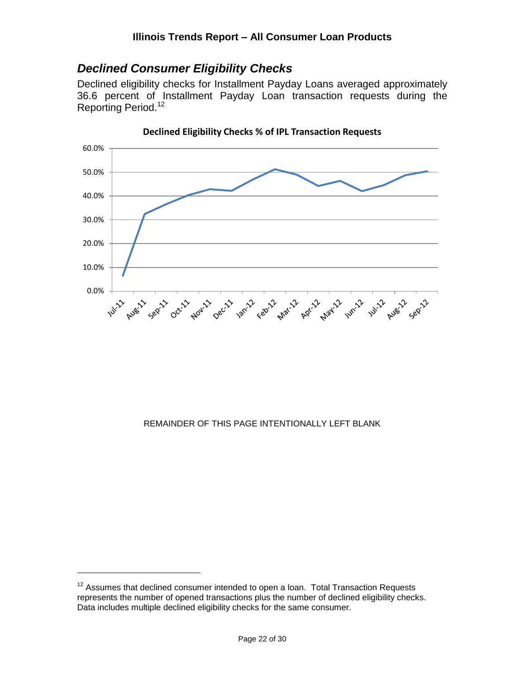# <span id="page-21-0"></span>*Declined Consumer Eligibility Checks*

Declined eligibility checks for Installment Payday Loans averaged approximately 36.6 percent of Installment Payday Loan transaction requests during the Reporting Period.<sup>12</sup>



**Declined Eligibility Checks % of IPL Transaction Requests**

#### REMAINDER OF THIS PAGE INTENTIONALLY LEFT BLANK

 $12$  Assumes that declined consumer intended to open a loan. Total Transaction Requests represents the number of opened transactions plus the number of declined eligibility checks. Data includes multiple declined eligibility checks for the same consumer.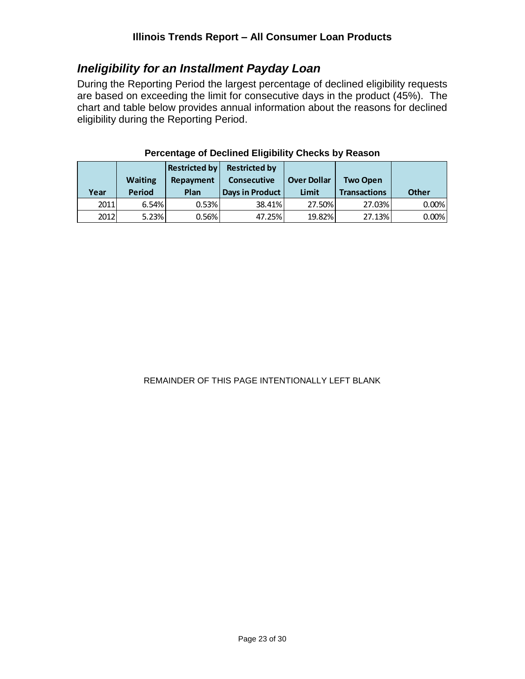# <span id="page-22-0"></span>*Ineligibility for an Installment Payday Loan*

During the Reporting Period the largest percentage of declined eligibility requests are based on exceeding the limit for consecutive days in the product (45%). The chart and table below provides annual information about the reasons for declined eligibility during the Reporting Period.

| Year | <b>Waiting</b><br><b>Period</b> | <b>Restricted by</b><br>Repayment<br>Plan | <b>Restricted by</b><br><b>Consecutive</b><br>Days in Product | <b>Over Dollar</b><br>Limit | <b>Two Open</b><br><b>Transactions</b> | <b>Other</b> |
|------|---------------------------------|-------------------------------------------|---------------------------------------------------------------|-----------------------------|----------------------------------------|--------------|
| 2011 | 6.54%                           | 0.53%                                     | 38.41%                                                        | 27.50%                      | 27.03%                                 | 0.00%        |
| 2012 | 5.23%                           | 0.56%                                     | 47.25%                                                        | 19.82%                      | 27.13%                                 | 0.00%        |

#### **Percentage of Declined Eligibility Checks by Reason**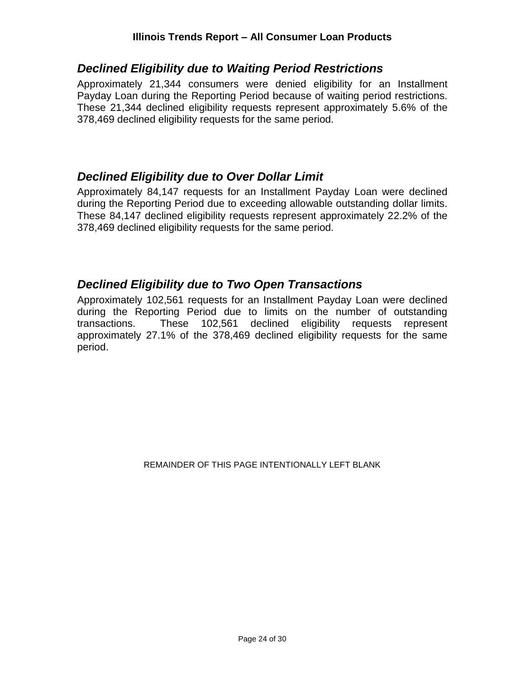#### **Illinois Trends Report – All Consumer Loan Products**

### <span id="page-23-0"></span>*Declined Eligibility due to Waiting Period Restrictions*

Approximately 21,344 consumers were denied eligibility for an Installment Payday Loan during the Reporting Period because of waiting period restrictions. These 21,344 declined eligibility requests represent approximately 5.6% of the 378,469 declined eligibility requests for the same period.

## <span id="page-23-1"></span>*Declined Eligibility due to Over Dollar Limit*

Approximately 84,147 requests for an Installment Payday Loan were declined during the Reporting Period due to exceeding allowable outstanding dollar limits. These 84,147 declined eligibility requests represent approximately 22.2% of the 378,469 declined eligibility requests for the same period.

## <span id="page-23-2"></span>*Declined Eligibility due to Two Open Transactions*

Approximately 102,561 requests for an Installment Payday Loan were declined during the Reporting Period due to limits on the number of outstanding transactions. These 102,561 declined eligibility requests represent approximately 27.1% of the 378,469 declined eligibility requests for the same period.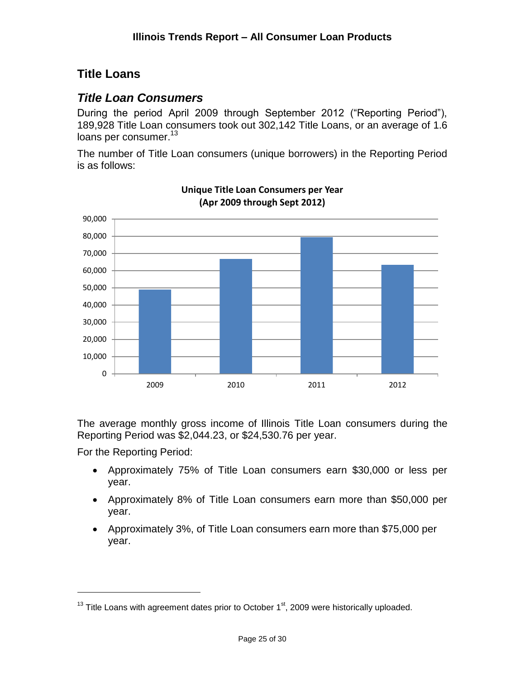# <span id="page-24-0"></span>**Title Loans**

# <span id="page-24-1"></span>*Title Loan Consumers*

During the period April 2009 through September 2012 ("Reporting Period"), 189,928 Title Loan consumers took out 302,142 Title Loans, or an average of 1.6 loans per consumer.<sup>13</sup>

The number of Title Loan consumers (unique borrowers) in the Reporting Period is as follows:



**Unique Title Loan Consumers per Year (Apr 2009 through Sept 2012)**

The average monthly gross income of Illinois Title Loan consumers during the Reporting Period was \$2,044.23, or \$24,530.76 per year.

For the Reporting Period:

- Approximately 75% of Title Loan consumers earn \$30,000 or less per year.
- Approximately 8% of Title Loan consumers earn more than \$50,000 per year.
- Approximately 3%, of Title Loan consumers earn more than \$75,000 per year.

 $13$  Title Loans with agreement dates prior to October  $1<sup>st</sup>$ , 2009 were historically uploaded.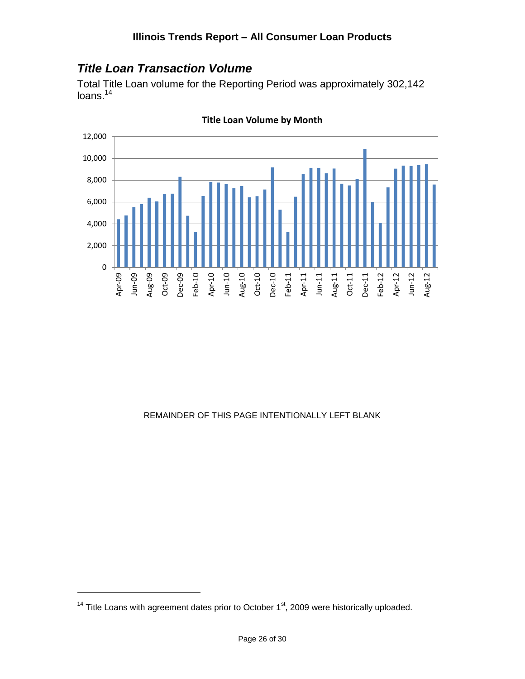# <span id="page-25-0"></span>*Title Loan Transaction Volume*

Total Title Loan volume for the Reporting Period was approximately 302,142 loans.<sup>14</sup>



**Title Loan Volume by Month**

#### REMAINDER OF THIS PAGE INTENTIONALLY LEFT BLANK

 $14$  Title Loans with agreement dates prior to October  $1<sup>st</sup>$ , 2009 were historically uploaded.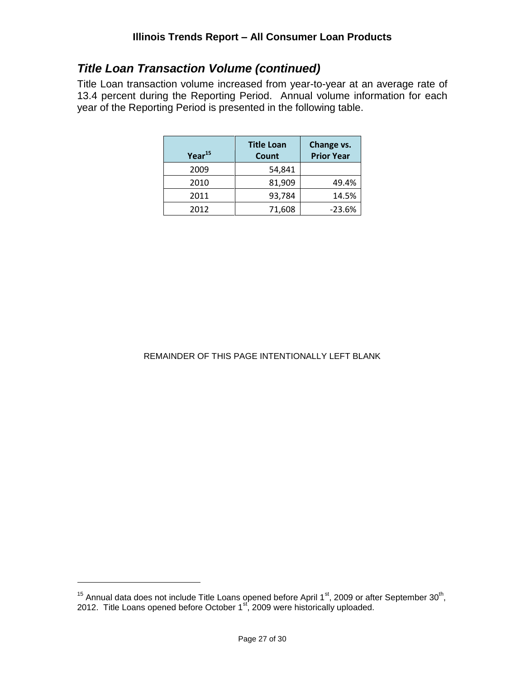# *Title Loan Transaction Volume (continued)*

Title Loan transaction volume increased from year-to-year at an average rate of 13.4 percent during the Reporting Period. Annual volume information for each year of the Reporting Period is presented in the following table.

| Year <sup>15</sup> | <b>Title Loan</b><br>Count | Change vs.<br><b>Prior Year</b> |
|--------------------|----------------------------|---------------------------------|
| 2009               | 54,841                     |                                 |
| 2010               | 81,909                     | 49.4%                           |
| 2011               | 93,784                     | 14.5%                           |
| 2012               | 71,608                     | $-23.6%$                        |

#### REMAINDER OF THIS PAGE INTENTIONALLY LEFT BLANK

<sup>&</sup>lt;sup>15</sup> Annual data does not include Title Loans opened before April 1<sup>st</sup>, 2009 or after September 30<sup>th</sup>, 2012. Title Loans opened before October 1<sup>st</sup>, 2009 were historically uploaded.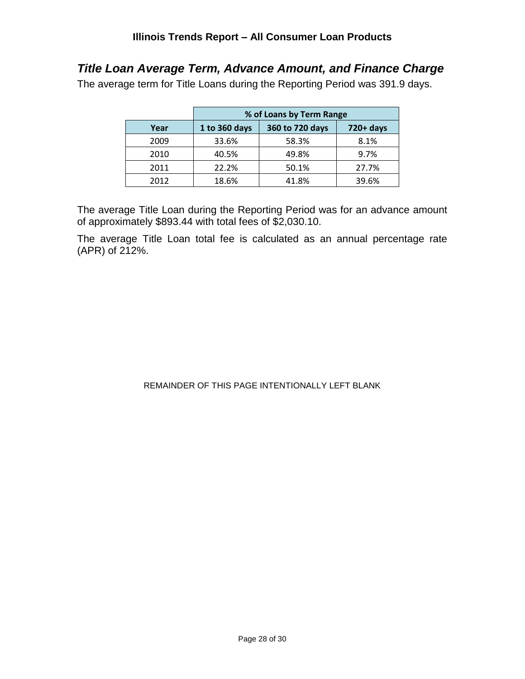# <span id="page-27-0"></span>*Title Loan Average Term, Advance Amount, and Finance Charge*

The average term for Title Loans during the Reporting Period was 391.9 days.

|      | % of Loans by Term Range |                 |              |
|------|--------------------------|-----------------|--------------|
| Year | 1 to 360 days            | 360 to 720 days | $720 + days$ |
| 2009 | 33.6%                    | 58.3%           | 8.1%         |
| 2010 | 40.5%                    | 49.8%           | 9.7%         |
| 2011 | 22.2%                    | 50.1%           | 27.7%        |
| 2012 | 18.6%                    | 41.8%           | 39.6%        |

The average Title Loan during the Reporting Period was for an advance amount of approximately \$893.44 with total fees of \$2,030.10.

The average Title Loan total fee is calculated as an annual percentage rate (APR) of 212%.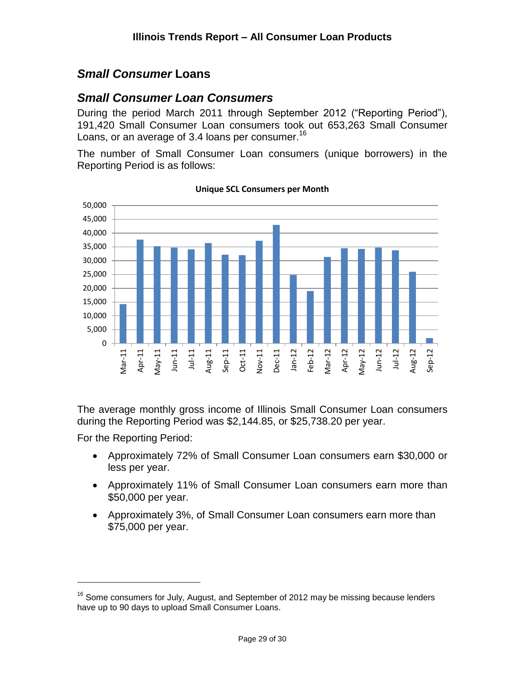# <span id="page-28-0"></span>*Small Consumer* **Loans**

## <span id="page-28-1"></span>*Small Consumer Loan Consumers*

During the period March 2011 through September 2012 ("Reporting Period"), 191,420 Small Consumer Loan consumers took out 653,263 Small Consumer Loans, or an average of 3.4 loans per consumer.<sup>16</sup>

The number of Small Consumer Loan consumers (unique borrowers) in the Reporting Period is as follows:



**Unique SCL Consumers per Month**

The average monthly gross income of Illinois Small Consumer Loan consumers during the Reporting Period was \$2,144.85, or \$25,738.20 per year.

For the Reporting Period:

- Approximately 72% of Small Consumer Loan consumers earn \$30,000 or less per year.
- Approximately 11% of Small Consumer Loan consumers earn more than \$50,000 per year.
- Approximately 3%, of Small Consumer Loan consumers earn more than \$75,000 per year.

<sup>&</sup>lt;sup>16</sup> Some consumers for July, August, and September of 2012 may be missing because lenders have up to 90 days to upload Small Consumer Loans.